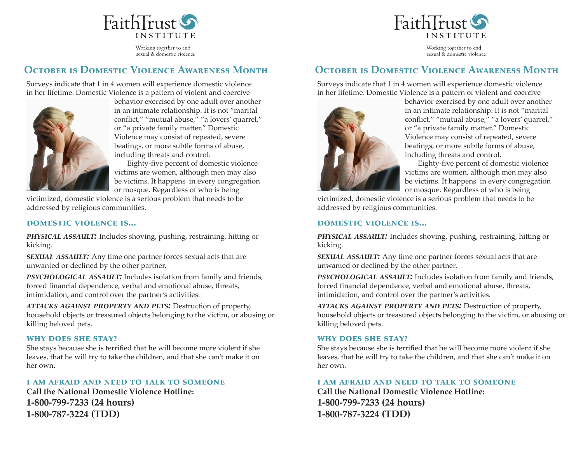

Working together to end sexual & domestic violence



Working together to end sexual & domestic violence

# **OCTOBER IS DOMESTIC VIOLENCE AWARENESS MONTH**

Surveys indicate that 1 in 4 women will experience domestic violence in her lifetime. Domestic Violence is a pattern of violent and coercive



behavior exercised by one adult over another in an intimate relationship. It is not "marital conflict," "mutual abuse," "a lovers' quarrel," or "a private family matter." Domestic Violence may consist of repeated, severe beatings, or more subtle forms of abuse, including threats and control.

 Eighty-five percent of domestic violence victims are women, although men may also be victims. It happens in every congregation or mosque. Regardless of who is being

victimized, domestic violence is a serious problem that needs to be addressed by religious communities.

#### **DOMESTIC VIOLENCE IS...**

*physical assault:* Includes shoving, pushing, restraining, hitting or kicking.

*sexual assault:* Any time one partner forces sexual acts that are unwanted or declined by the other partner.

*psychological assault:* Includes isolation from family and friends, forced financial dependence, verbal and emotional abuse, threats, intimidation, and control over the partner's activities.

*attacks against property and pets:* Destruction of property, household objects or treasured objects belonging to the victim, or abusing or killing beloved pets.

#### **why does she stay?**

She stays because she is terrified that he will become more violent if she leaves, that he will try to take the children, and that she can't make it on her own.

#### **i am afraid and need to talk to someone**

**Call the National Domestic Violence Hotline: 1-800-799-7233 (24 hours) 1-800-787-3224 (TDD)**

## **OCTOBER IS DOMESTIC VIOLENCE AWARENESS MONTH**

Surveys indicate that 1 in 4 women will experience domestic violence in her lifetime. Domestic Violence is a pattern of violent and coercive



behavior exercised by one adult over another in an intimate relationship. It is not "marital conflict," "mutual abuse," "a lovers' quarrel," or "a private family matter." Domestic Violence may consist of repeated, severe beatings, or more subtle forms of abuse, including threats and control.

 Eighty-five percent of domestic violence victims are women, although men may also be victims. It happens in every congregation or mosque. Regardless of who is being

victimized, domestic violence is a serious problem that needs to be addressed by religious communities.

#### **DOMESTIC VIOLENCE IS...**

*physical assault:* Includes shoving, pushing, restraining, hitting or kicking.

*sexual assault:* Any time one partner forces sexual acts that are unwanted or declined by the other partner.

*psychological assault:* Includes isolation from family and friends, forced financial dependence, verbal and emotional abuse, threats, intimidation, and control over the partner's activities.

*attacks against property and pets:* Destruction of property, household objects or treasured objects belonging to the victim, or abusing or killing beloved pets.

#### **why does she stay?**

She stays because she is terrified that he will become more violent if she leaves, that he will try to take the children, and that she can't make it on her own.

#### **i am afraid and need to talk to someone**

**Call the National Domestic Violence Hotline: 1-800-799-7233 (24 hours) 1-800-787-3224 (TDD)**